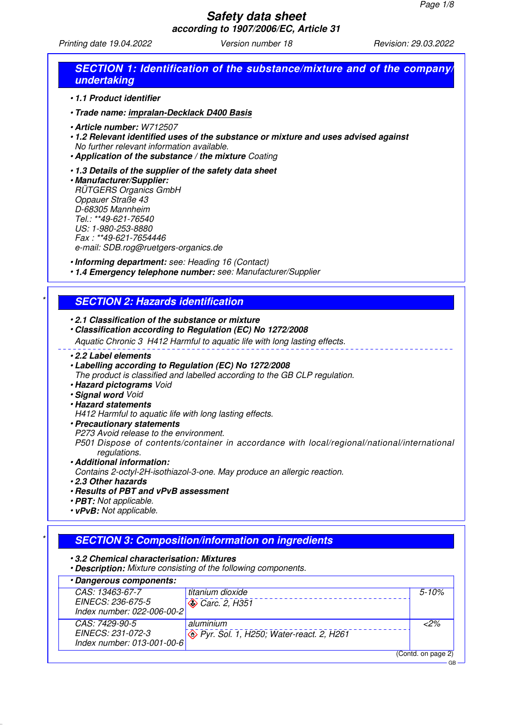Printing date 19.04.2022 Version number 18 Revision: 29.03.2022

| •1.1 Product identifier                                                                                                                                                                                                                                                   |                                                                                             |           |
|---------------------------------------------------------------------------------------------------------------------------------------------------------------------------------------------------------------------------------------------------------------------------|---------------------------------------------------------------------------------------------|-----------|
| • Trade name: impralan-Decklack D400 Basis                                                                                                                                                                                                                                |                                                                                             |           |
| · Article number: W712507<br>No further relevant information available.<br>• Application of the substance / the mixture Coating                                                                                                                                           | .1.2 Relevant identified uses of the substance or mixture and uses advised against          |           |
| .1.3 Details of the supplier of the safety data sheet<br>· Manufacturer/Supplier:<br><b>RÜTGERS Organics GmbH</b><br>Oppauer Straße 43<br>D-68305 Mannheim<br>Tel.: **49-621-76540<br>US: 1-980-253-8880<br>Fax: **49-621-7654446<br>e-mail: SDB.rog@ruetgers-organics.de |                                                                                             |           |
| . Informing department: see: Heading 16 (Contact)                                                                                                                                                                                                                         | . 1.4 Emergency telephone number: see: Manufacturer/Supplier                                |           |
|                                                                                                                                                                                                                                                                           |                                                                                             |           |
| <b>SECTION 2: Hazards identification</b>                                                                                                                                                                                                                                  |                                                                                             |           |
| .2.1 Classification of the substance or mixture                                                                                                                                                                                                                           |                                                                                             |           |
|                                                                                                                                                                                                                                                                           | • Classification according to Regulation (EC) No 1272/2008                                  |           |
|                                                                                                                                                                                                                                                                           | Aquatic Chronic 3 H412 Harmful to aquatic life with long lasting effects.                   |           |
| •2.2 Label elements<br>• Labelling according to Regulation (EC) No 1272/2008<br>· Hazard pictograms Void<br>· Signal word Void<br>· Hazard statements<br>H412 Harmful to aquatic life with long lasting effects.                                                          | The product is classified and labelled according to the GB CLP regulation.                  |           |
| · Precautionary statements<br>P273 Avoid release to the environment.<br>regulations.                                                                                                                                                                                      | P501 Dispose of contents/container in accordance with local/regional/national/international |           |
| · Additional information:                                                                                                                                                                                                                                                 |                                                                                             |           |
| .2.3 Other hazards                                                                                                                                                                                                                                                        | Contains 2-octyl-2H-isothiazol-3-one. May produce an allergic reaction.                     |           |
| . Results of PBT and vPvB assessment                                                                                                                                                                                                                                      |                                                                                             |           |
| • PBT: Not applicable.                                                                                                                                                                                                                                                    |                                                                                             |           |
| • vPvB: Not applicable.                                                                                                                                                                                                                                                   |                                                                                             |           |
|                                                                                                                                                                                                                                                                           |                                                                                             |           |
|                                                                                                                                                                                                                                                                           | <b>SECTION 3: Composition/information on ingredients</b>                                    |           |
|                                                                                                                                                                                                                                                                           |                                                                                             |           |
| .3.2 Chemical characterisation: Mixtures                                                                                                                                                                                                                                  |                                                                                             |           |
| <b>· Description:</b> Mixture consisting of the following components.                                                                                                                                                                                                     |                                                                                             |           |
| · Dangerous components:                                                                                                                                                                                                                                                   |                                                                                             |           |
| CAS: 13463-67-7<br>EINECS: 236-675-5<br>Index number: 022-006-00-2                                                                                                                                                                                                        | titanium dioxide<br>Carc. 2, H351                                                           | $5 - 10%$ |
| CAS: 7429-90-5                                                                                                                                                                                                                                                            | aluminium                                                                                   | $2\%$     |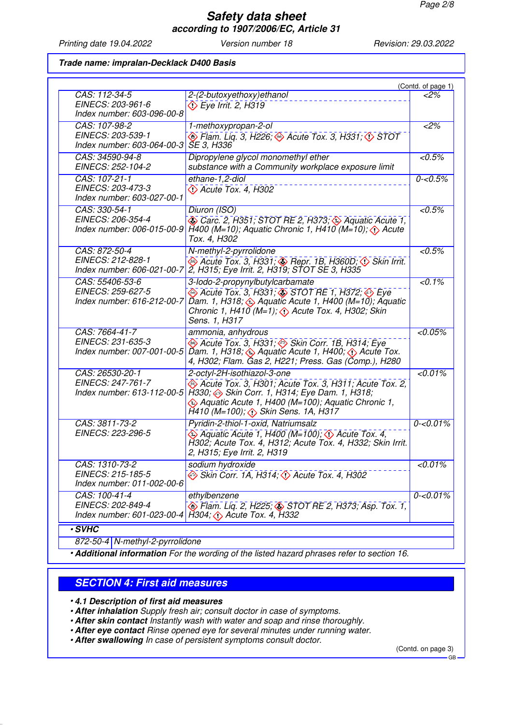Printing date 19.04.2022 Version number 18 Revision: 29.03.2022

#### **Trade name: impralan-Decklack D400 Basis**

|                                                                    |                                                                                                                                                                                                                                                                          | (Contd. of page 1) |
|--------------------------------------------------------------------|--------------------------------------------------------------------------------------------------------------------------------------------------------------------------------------------------------------------------------------------------------------------------|--------------------|
| CAS: 112-34-5<br>EINECS: 203-961-6<br>Index number: 603-096-00-8   | 2-(2-butoxyethoxy) ethanol<br><b>Eye Irrit. 2, H319</b>                                                                                                                                                                                                                  | <2%                |
| CAS: 107-98-2<br>EINECS: 203-539-1<br>Index number: 603-064-00-3   | 1-methoxypropan-2-ol<br>$\circledast$ Flam. Liq. 3, H226; $\circledast$ Acute Tox. 3, H331; $\circledast$ STOT<br><b>ŠE 3, H336</b>                                                                                                                                      | $2\%$              |
| CAS: 34590-94-8<br>EINECS: 252-104-2                               | Dipropylene glycol monomethyl ether<br>substance with a Community workplace exposure limit                                                                                                                                                                               | $\sqrt{0.5\%}$     |
| CAS: 107-21-1<br>EINECS: 203-473-3<br>Index number: 603-027-00-1   | ethane-1,2-diol<br>$\leftrightarrow$ Acute Tox. 4, H302                                                                                                                                                                                                                  | $0 - 0.5%$         |
| CAS: 330-54-1<br>EINECS: 206-354-4<br>Index number: 006-015-00-9   | Diuron (ISO)<br>Carc. 2, H351; STOT RE 2, H373; Aquatic Acute 1,<br>H400 (M=10); Aquatic Chronic 1, H410 (M=10); $\langle \cdot \rangle$ Acute<br>Tox. 4, H302                                                                                                           | $< 0.5\%$          |
| CAS: 872-50-4<br>EINECS: 212-828-1<br>Index number: 606-021-00-7   | N-methyl-2-pyrrolidone<br>Acute Tox. 3, H331; Bepr. 1B, H360D; Oskin Irrit.<br>2, H315; Eye Irrit. 2, H319; STOT SE 3, H335                                                                                                                                              | < 0.5%             |
| CAS: 55406-53-6<br>EINECS: 259-627-5<br>Index number: 616-212-00-7 | 3-lodo-2-propynylbutylcarbamate<br>Acute Tox. 3, H331, $\circledast$ STOT RE 1, H372, $\circledast$ Eye<br>Dam. 1, H318, $\circledast$ Aquatic Acute 1, H400 (M=10), Aquatic<br>Chronic 1, H410 (M=1); $\langle \cdot \rangle$ Acute Tox. 4, H302; Skin<br>Sens. 1, H317 | $< 0.1\%$          |
| CAS: 7664-41-7<br>EINECS: 231-635-3<br>Index number: 007-001-00-5  | ammonia, anhydrous<br>Acute Tox. 3, H331; Skin Corr. 1B, H314; Eye<br>Dam. 1, H318; $\leftrightarrow$ Aquatic Acute 1, H400; $\leftrightarrow$ Acute Tox.<br>4, H302; Flam. Gas 2, H221; Press. Gas (Comp.), H280                                                        | $< 0.05\%$         |
| CAS: 26530-20-1<br>EINECS: 247-761-7<br>Index number: 613-112-00-5 | 2-octyl-2H-isothiazol-3-one<br>Acute Tox. 3, H301; Acute Tox. 3, H311; Acute Tox. 2,<br>H330; A Skin Corr. 1, H314; Eye Dam. 1, H318;<br>Aquatic Acute 1, H400 (M=100); Aquatic Chronic 1,<br>$H410$ (M=100); $\diamondsuit$ Skin Sens. 1A, H317                         | < 0.01%            |
| CAS: 3811-73-2<br>EINECS: 223-296-5                                | Pyridin-2-thiol-1-oxid, Natriumsalz<br>$\leftrightarrow$ Aquatic Acute 1, H400 (M=100); $\leftrightarrow$ Acute Tox. 4,<br>H302; Acute Tox. 4, H312; Acute Tox. 4, H332; Skin Irrit.<br>2, H315; Eye Irrit. 2, H319                                                      | $0 - 0.01\%$       |
| CAS: 1310-73-2<br>EINECS: 215-185-5                                | sodium hydroxide<br>Skin Corr. 1A, H314; $\Diamond$ Acute Tox. 4, H302                                                                                                                                                                                                   | < 0.01%            |
| Index number: 011-002-00-6                                         |                                                                                                                                                                                                                                                                          |                    |

872-50-4 N-methyl-2-pyrrolidone

• **Additional information** For the wording of the listed hazard phrases refer to section 16.

### **SECTION 4: First aid measures**

• **4.1 Description of first aid measures**

• **After inhalation** Supply fresh air; consult doctor in case of symptoms.

- **After skin contact** Instantly wash with water and soap and rinse thoroughly.
- **After eye contact** Rinse opened eye for several minutes under running water.

• **After swallowing** In case of persistent symptoms consult doctor.

(Contd. on page 3)

GB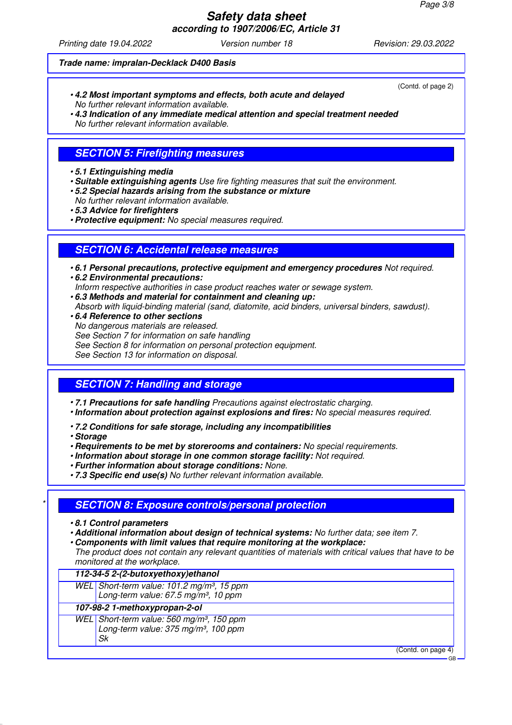Printing date 19.04.2022 Version number 18 Revision: 29.03.2022

#### **Trade name: impralan-Decklack D400 Basis**

- **4.2 Most important symptoms and effects, both acute and delayed** No further relevant information available.
- **4.3 Indication of any immediate medical attention and special treatment needed** No further relevant information available.

# **SECTION 5: Firefighting measures**

- **5.1 Extinguishing media**
- **Suitable extinguishing agents** Use fire fighting measures that suit the environment.
- **5.2 Special hazards arising from the substance or mixture**
- No further relevant information available.
- **5.3 Advice for firefighters**
- **Protective equipment:** No special measures required.

### **SECTION 6: Accidental release measures**

- **6.1 Personal precautions, protective equipment and emergency procedures** Not required.
- **6.2 Environmental precautions:** Inform respective authorities in case product reaches water or sewage system.
- **6.3 Methods and material for containment and cleaning up:**
- Absorb with liquid-binding material (sand, diatomite, acid binders, universal binders, sawdust).
- **6.4 Reference to other sections** No dangerous materials are released. See Section 7 for information on safe handling See Section 8 for information on personal protection equipment. See Section 13 for information on disposal.

### **SECTION 7: Handling and storage**

- **7.1 Precautions for safe handling** Precautions against electrostatic charging.
- **Information about protection against explosions and fires:** No special measures required.
- **7.2 Conditions for safe storage, including any incompatibilities**
- **Storage**
- **Requirements to be met by storerooms and containers:** No special requirements.
- **Information about storage in one common storage facility:** Not required.
- **Further information about storage conditions:** None.
- **7.3 Specific end use(s)** No further relevant information available.

### \* **SECTION 8: Exposure controls/personal protection**

- **8.1 Control parameters**
- **Additional information about design of technical systems:** No further data; see item 7.
- **Components with limit values that require monitoring at the workplace:**
- The product does not contain any relevant quantities of materials with critical values that have to be monitored at the workplace.

| WEL Short-term value: 101.2 mg/m <sup>3</sup> , 15 ppm<br>Long-term value: 67.5 mg/m <sup>3</sup> , 10 ppm      |                    |
|-----------------------------------------------------------------------------------------------------------------|--------------------|
| 107-98-2 1-methoxypropan-2-ol                                                                                   |                    |
| WEL Short-term value: 560 mg/m <sup>3</sup> , 150 ppm<br>Long-term value: 375 mg/m <sup>3</sup> , 100 ppm<br>Sk |                    |
|                                                                                                                 | (Contd. on page 4) |

(Contd. of page 2)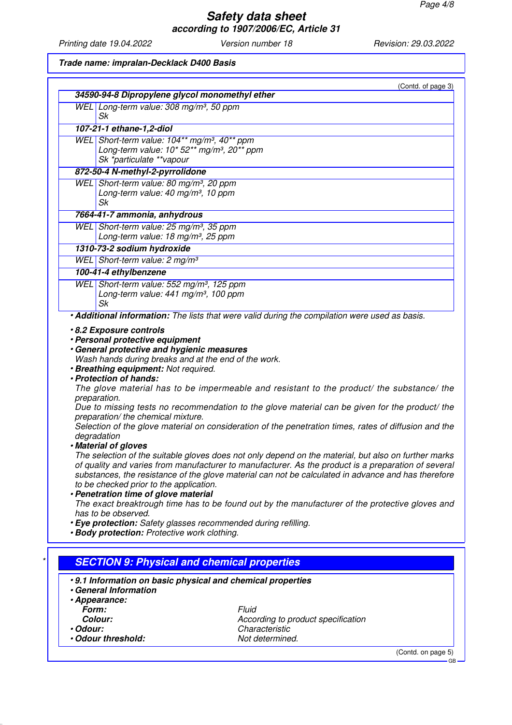Printing date 19.04.2022 Version number 18 Revision: 29.03.2022

#### **Trade name: impralan-Decklack D400 Basis**

|         |                                                                                                                                                                                                                                                                       | (Contd. of page 3)                                                                                                                                                                                                                                                                                                                                                                                                                                                                                                                                                                                                                                                                                                            |
|---------|-----------------------------------------------------------------------------------------------------------------------------------------------------------------------------------------------------------------------------------------------------------------------|-------------------------------------------------------------------------------------------------------------------------------------------------------------------------------------------------------------------------------------------------------------------------------------------------------------------------------------------------------------------------------------------------------------------------------------------------------------------------------------------------------------------------------------------------------------------------------------------------------------------------------------------------------------------------------------------------------------------------------|
|         | 34590-94-8 Dipropylene glycol monomethyl ether                                                                                                                                                                                                                        |                                                                                                                                                                                                                                                                                                                                                                                                                                                                                                                                                                                                                                                                                                                               |
|         | WEL Long-term value: 308 mg/m <sup>3</sup> , 50 ppm<br>Sk                                                                                                                                                                                                             |                                                                                                                                                                                                                                                                                                                                                                                                                                                                                                                                                                                                                                                                                                                               |
|         | 107-21-1 ethane-1,2-diol                                                                                                                                                                                                                                              |                                                                                                                                                                                                                                                                                                                                                                                                                                                                                                                                                                                                                                                                                                                               |
|         | WEL Short-term value: 104** mg/m <sup>3</sup> , 40** ppm                                                                                                                                                                                                              |                                                                                                                                                                                                                                                                                                                                                                                                                                                                                                                                                                                                                                                                                                                               |
|         | Long-term value: 10* 52** mg/m <sup>3</sup> , 20** ppm                                                                                                                                                                                                                |                                                                                                                                                                                                                                                                                                                                                                                                                                                                                                                                                                                                                                                                                                                               |
|         | Sk *particulate **vapour                                                                                                                                                                                                                                              |                                                                                                                                                                                                                                                                                                                                                                                                                                                                                                                                                                                                                                                                                                                               |
|         | 872-50-4 N-methyl-2-pyrrolidone                                                                                                                                                                                                                                       |                                                                                                                                                                                                                                                                                                                                                                                                                                                                                                                                                                                                                                                                                                                               |
|         | WEL Short-term value: 80 mg/m <sup>3</sup> , 20 ppm                                                                                                                                                                                                                   |                                                                                                                                                                                                                                                                                                                                                                                                                                                                                                                                                                                                                                                                                                                               |
|         | Long-term value: 40 mg/m <sup>3</sup> , 10 ppm                                                                                                                                                                                                                        |                                                                                                                                                                                                                                                                                                                                                                                                                                                                                                                                                                                                                                                                                                                               |
|         | Sk                                                                                                                                                                                                                                                                    |                                                                                                                                                                                                                                                                                                                                                                                                                                                                                                                                                                                                                                                                                                                               |
|         | 7664-41-7 ammonia, anhydrous                                                                                                                                                                                                                                          |                                                                                                                                                                                                                                                                                                                                                                                                                                                                                                                                                                                                                                                                                                                               |
|         | WEL Short-term value: 25 mg/m <sup>3</sup> , 35 ppm                                                                                                                                                                                                                   |                                                                                                                                                                                                                                                                                                                                                                                                                                                                                                                                                                                                                                                                                                                               |
|         | Long-term value: 18 mg/m <sup>3</sup> , 25 ppm                                                                                                                                                                                                                        |                                                                                                                                                                                                                                                                                                                                                                                                                                                                                                                                                                                                                                                                                                                               |
|         | 1310-73-2 sodium hydroxide                                                                                                                                                                                                                                            |                                                                                                                                                                                                                                                                                                                                                                                                                                                                                                                                                                                                                                                                                                                               |
|         | WEL Short-term value: 2 mg/m <sup>3</sup>                                                                                                                                                                                                                             |                                                                                                                                                                                                                                                                                                                                                                                                                                                                                                                                                                                                                                                                                                                               |
|         | 100-41-4 ethylbenzene                                                                                                                                                                                                                                                 |                                                                                                                                                                                                                                                                                                                                                                                                                                                                                                                                                                                                                                                                                                                               |
|         | WEL Short-term value: 552 mg/m <sup>3</sup> , 125 ppm                                                                                                                                                                                                                 |                                                                                                                                                                                                                                                                                                                                                                                                                                                                                                                                                                                                                                                                                                                               |
|         | Long-term value: 441 mg/m <sup>3</sup> , 100 ppm                                                                                                                                                                                                                      |                                                                                                                                                                                                                                                                                                                                                                                                                                                                                                                                                                                                                                                                                                                               |
|         | Sk                                                                                                                                                                                                                                                                    | • Additional information: The lists that were valid during the compilation were used as basis.                                                                                                                                                                                                                                                                                                                                                                                                                                                                                                                                                                                                                                |
|         | · Personal protective equipment<br>. General protective and hygienic measures<br>Wash hands during breaks and at the end of the work.<br>· Breathing equipment: Not required.<br>· Protection of hands:                                                               |                                                                                                                                                                                                                                                                                                                                                                                                                                                                                                                                                                                                                                                                                                                               |
|         | preparation.<br>preparation/ the chemical mixture.<br>degradation<br>· Material of gloves<br>to be checked prior to the application.<br>· Penetration time of glove material<br>has to be observed.<br>· Eye protection: Safety glasses recommended during refilling. | The glove material has to be impermeable and resistant to the product/ the substance/ the<br>Due to missing tests no recommendation to the glove material can be given for the product/ the<br>Selection of the glove material on consideration of the penetration times, rates of diffusion and the<br>The selection of the suitable gloves does not only depend on the material, but also on further marks<br>of quality and varies from manufacturer to manufacturer. As the product is a preparation of several<br>substances, the resistance of the glove material can not be calculated in advance and has therefore<br>The exact breaktrough time has to be found out by the manufacturer of the protective gloves and |
|         | · Body protection: Protective work clothing.<br><b>SECTION 9: Physical and chemical properties</b><br>.9.1 Information on basic physical and chemical properties                                                                                                      |                                                                                                                                                                                                                                                                                                                                                                                                                                                                                                                                                                                                                                                                                                                               |
|         | • General Information                                                                                                                                                                                                                                                 |                                                                                                                                                                                                                                                                                                                                                                                                                                                                                                                                                                                                                                                                                                                               |
|         | · Appearance:                                                                                                                                                                                                                                                         |                                                                                                                                                                                                                                                                                                                                                                                                                                                                                                                                                                                                                                                                                                                               |
|         | Form:                                                                                                                                                                                                                                                                 | Fluid                                                                                                                                                                                                                                                                                                                                                                                                                                                                                                                                                                                                                                                                                                                         |
| ·Odour: | Colour:                                                                                                                                                                                                                                                               | According to product specification<br>Characteristic                                                                                                                                                                                                                                                                                                                                                                                                                                                                                                                                                                                                                                                                          |

(Contd. on page 5) GB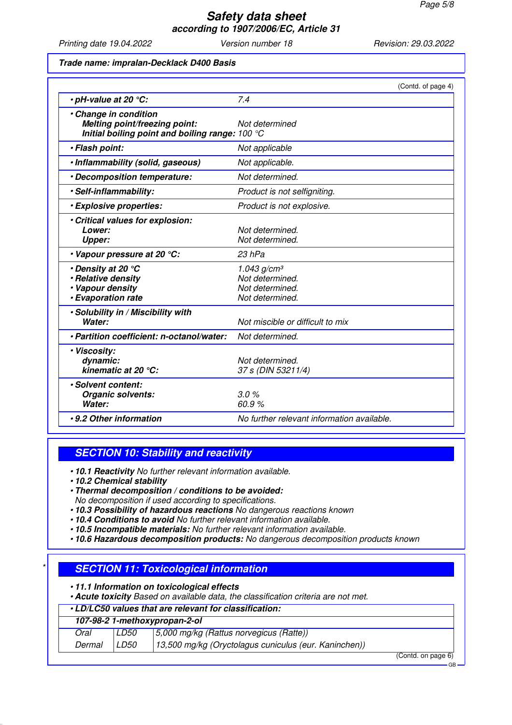Printing date 19.04.2022 Version number 18 Revision: 29.03.2022

#### **Trade name: impralan-Decklack D400 Basis**

|                                                                                                           | (Contd. of page 4)                                                               |
|-----------------------------------------------------------------------------------------------------------|----------------------------------------------------------------------------------|
| $\cdot$ pH-value at 20 $\degree$ C:                                                                       | 7.4                                                                              |
| · Change in condition<br>Melting point/freezing point:<br>Initial boiling point and boiling range: 100 °C | Not determined                                                                   |
| · Flash point:                                                                                            | Not applicable                                                                   |
| · Inflammability (solid, gaseous)                                                                         | Not applicable.                                                                  |
| • Decomposition temperature:                                                                              | Not determined.                                                                  |
| ·Self-inflammability:                                                                                     | Product is not selfigniting.                                                     |
| · Explosive properties:                                                                                   | Product is not explosive.                                                        |
| · Critical values for explosion:<br>Lower:<br><b>Upper:</b>                                               | Not determined.<br>Not determined.                                               |
| • Vapour pressure at 20 °C:                                                                               | 23 hPa                                                                           |
| • Density at 20 °C<br>· Relative density<br>• Vapour density<br><b>· Evaporation rate</b>                 | 1.043 g/cm <sup>3</sup><br>Not determined.<br>Not determined.<br>Not determined. |
| . Solubility in / Miscibility with<br>Water:                                                              | Not miscible or difficult to mix                                                 |
| · Partition coefficient: n-octanol/water:                                                                 | Not determined.                                                                  |
| · Viscosity:<br>dynamic:<br>kinematic at 20 °C:                                                           | Not determined.<br>37 s (DIN 53211/4)                                            |
| · Solvent content:<br><b>Organic solvents:</b><br>Water:                                                  | 3.0%<br>60.9%                                                                    |
| •9.2 Other information                                                                                    | No further relevant information available.                                       |

### **SECTION 10: Stability and reactivity**

- **10.1 Reactivity** No further relevant information available.
- **10.2 Chemical stability**
- **Thermal decomposition / conditions to be avoided:** No decomposition if used according to specifications.
- **10.3 Possibility of hazardous reactions** No dangerous reactions known
- **10.4 Conditions to avoid** No further relevant information available.
- **10.5 Incompatible materials:** No further relevant information available.
- **10.6 Hazardous decomposition products:** No dangerous decomposition products known

### **SECTION 11: Toxicological information**

• **11.1 Information on toxicological effects**

• **Acute toxicity** Based on available data, the classification criteria are not met.

### • **LD/LC50 values that are relevant for classification:**

| 107-98-2 1-methoxypropan-2-ol |      |                                                       |                     |
|-------------------------------|------|-------------------------------------------------------|---------------------|
| Oral                          | LD50 | $5,000$ mg/kg (Rattus norvegicus (Ratte))             |                     |
| Dermal                        | LD50 | 13,500 mg/kg (Oryctolagus cuniculus (eur. Kaninchen)) |                     |
|                               |      |                                                       | $(0.111)$ $(0.111)$ |

(Contd. on page 6)

GB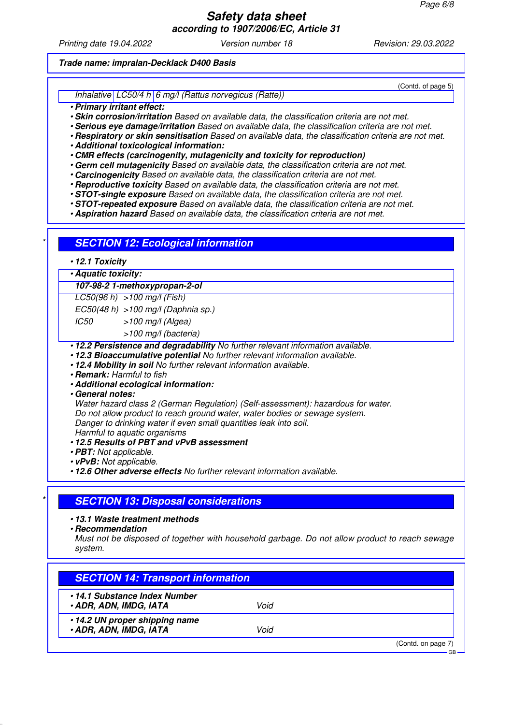# **Safety data sheet**

**according to 1907/2006/EC, Article 31**

Printing date 19.04.2022 Version number 18 Revision: 29.03.2022

#### **Trade name: impralan-Decklack D400 Basis**

Inhalative LC50/4 h 6 mg/l (Rattus norvegicus (Ratte))

- **Primary irritant effect:**
- **Skin corrosion/irritation** Based on available data, the classification criteria are not met.
- **Serious eye damage/irritation** Based on available data, the classification criteria are not met.
- **Respiratory or skin sensitisation** Based on available data, the classification criteria are not met.
- **Additional toxicological information:**
- **CMR effects (carcinogenity, mutagenicity and toxicity for reproduction)**
- **Germ cell mutagenicity** Based on available data, the classification criteria are not met.
- **Carcinogenicity** Based on available data, the classification criteria are not met.
- **Reproductive toxicity** Based on available data, the classification criteria are not met.
- **STOT-single exposure** Based on available data, the classification criteria are not met.
- **STOT-repeated exposure** Based on available data, the classification criteria are not met.
- **Aspiration hazard** Based on available data, the classification criteria are not met.

| · Aquatic toxicity:                                                                                     |                                                                                                                                                                                                                                                                                                                                                                                                                                    |
|---------------------------------------------------------------------------------------------------------|------------------------------------------------------------------------------------------------------------------------------------------------------------------------------------------------------------------------------------------------------------------------------------------------------------------------------------------------------------------------------------------------------------------------------------|
|                                                                                                         | 107-98-2 1-methoxypropan-2-ol                                                                                                                                                                                                                                                                                                                                                                                                      |
|                                                                                                         | $LC50(96 h) > 100$ mg/l (Fish)                                                                                                                                                                                                                                                                                                                                                                                                     |
|                                                                                                         | $EC50(48 h)$ > 100 mg/l (Daphnia sp.)                                                                                                                                                                                                                                                                                                                                                                                              |
| IC50                                                                                                    | $>100$ mg/l (Algea)                                                                                                                                                                                                                                                                                                                                                                                                                |
|                                                                                                         | >100 mg/l (bacteria)                                                                                                                                                                                                                                                                                                                                                                                                               |
| • Remark: Harmful to fish<br><b>Ceneral notes:</b><br>• PBT: Not applicable.<br>• vPvB: Not applicable. | · Additional ecological information:<br>Water hazard class 2 (German Regulation) (Self-assessment): hazardous for water.<br>Do not allow product to reach ground water, water bodies or sewage system.<br>Danger to drinking water if even small quantities leak into soil.<br>Harmful to aquatic organisms<br>.12.5 Results of PBT and vPvB assessment<br>• 12.6 Other adverse effects No further relevant information available. |
|                                                                                                         | <b>SECTION 13: Disposal considerations</b>                                                                                                                                                                                                                                                                                                                                                                                         |

Must not be disposed of together with household garbage. Do not allow product to reach sewage system.

| •14.1 Substance Index Number<br><b>. ADR, ADN, IMDG, IATA</b><br>Void  |  |
|------------------------------------------------------------------------|--|
| •14.2 UN proper shipping name<br><b>. ADR, ADN, IMDG, IATA</b><br>Void |  |

(Contd. of page 5)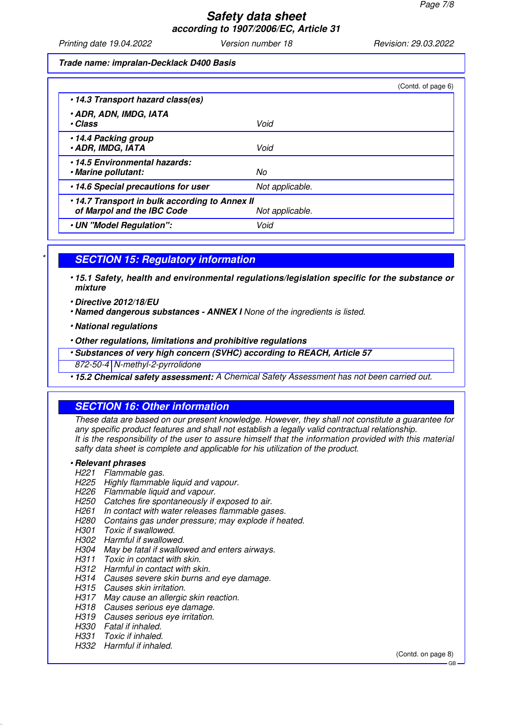Printing date 19.04.2022 Version number 18 Revision: 29.03.2022

**Trade name: impralan-Decklack D400 Basis**

|                                                                             | (Contd. of page 6) |
|-----------------------------------------------------------------------------|--------------------|
| •14.3 Transport hazard class(es)                                            |                    |
| <b>. ADR, ADN, IMDG, IATA</b><br>• Class                                    | Void               |
| •14.4 Packing group<br><b>. ADR, IMDG, IATA</b>                             | Void               |
| •14.5 Environmental hazards:<br>· Marine pollutant:                         | No                 |
| .14.6 Special precautions for user                                          | Not applicable.    |
| •14.7 Transport in bulk according to Annex II<br>of Marpol and the IBC Code | Not applicable.    |
| · UN "Model Regulation":                                                    | Void               |

# **SECTION 15: Regulatory information**

• **15.1 Safety, health and environmental regulations/legislation specific for the substance or mixture**

- **Directive 2012/18/EU**
- **Named dangerous substances ANNEX I** None of the ingredients is listed.
- **National regulations**
- **Other regulations, limitations and prohibitive regulations**
- **Substances of very high concern (SVHC) according to REACH, Article 57**
- 872-50-4 N-methyl-2-pyrrolidone

• **15.2 Chemical safety assessment:** A Chemical Safety Assessment has not been carried out.

### **SECTION 16: Other information**

These data are based on our present knowledge. However, they shall not constitute a guarantee for any specific product features and shall not establish a legally valid contractual relationship. It is the responsibility of the user to assure himself that the information provided with this material safty data sheet is complete and applicable for his utilization of the product.

#### • **Relevant phrases**

- H221 Flammable gas.
- H225 Highly flammable liquid and vapour.
- H226 Flammable liquid and vapour.
- H250 Catches fire spontaneously if exposed to air.
- H261 In contact with water releases flammable gases.
- H280 Contains gas under pressure; may explode if heated.
- H301 Toxic if swallowed.
- H302 Harmful if swallowed.
- H304 May be fatal if swallowed and enters airways.
- H311 Toxic in contact with skin.
- H312 Harmful in contact with skin.
- H314 Causes severe skin burns and eye damage.
- H315 Causes skin irritation.
- H317 May cause an allergic skin reaction.
- H318 Causes serious eye damage.
- H319 Causes serious eye irritation.
- H330 Fatal if inhaled.
- H331 Toxic if inhaled.

#### H332 Harmful if inhaled.

(Contd. on page 8)

GB